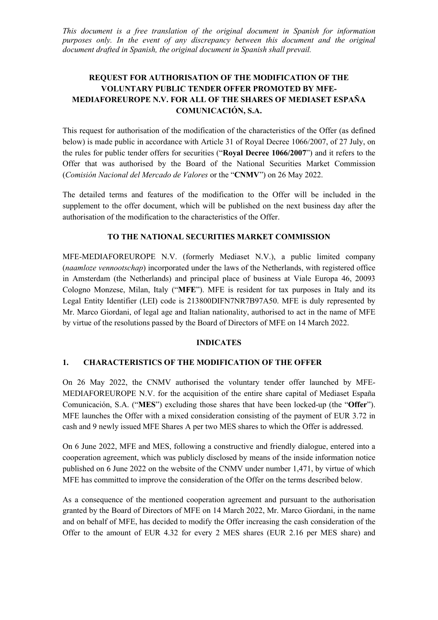*This document is a free translation of the original document in Spanish for information purposes only. In the event of any discrepancy between this document and the original document drafted in Spanish, the original document in Spanish shall prevail.*

# **REQUEST FOR AUTHORISATION OF THE MODIFICATION OF THE VOLUNTARY PUBLIC TENDER OFFER PROMOTED BY MFE-MEDIAFOREUROPE N.V. FOR ALL OF THE SHARES OF MEDIASET ESPAÑA COMUNICACIÓN, S.A.**

This request for authorisation of the modification of the characteristics of the Offer (as defined below) is made public in accordance with Article 31 of Royal Decree 1066/2007, of 27 July, on the rules for public tender offers for securities ("**Royal Decree 1066/2007**") and it refers to the Offer that was authorised by the Board of the National Securities Market Commission (*Comisión Nacional del Mercado de Valores* or the "**CNMV**") on 26 May 2022.

The detailed terms and features of the modification to the Offer will be included in the supplement to the offer document, which will be published on the next business day after the authorisation of the modification to the characteristics of the Offer.

### **TO THE NATIONAL SECURITIES MARKET COMMISSION**

MFE-MEDIAFOREUROPE N.V. (formerly Mediaset N.V.), a public limited company (*naamloze vennootschap*) incorporated under the laws of the Netherlands, with registered office in Amsterdam (the Netherlands) and principal place of business at Viale Europa 46, 20093 Cologno Monzese, Milan, Italy ("**MFE**"). MFE is resident for tax purposes in Italy and its Legal Entity Identifier (LEI) code is 213800DIFN7NR7B97A50. MFE is duly represented by Mr. Marco Giordani, of legal age and Italian nationality, authorised to act in the name of MFE by virtue of the resolutions passed by the Board of Directors of MFE on 14 March 2022.

#### **INDICATES**

## **1. CHARACTERISTICS OF THE MODIFICATION OF THE OFFER**

On 26 May 2022, the CNMV authorised the voluntary tender offer launched by MFE-MEDIAFOREUROPE N.V. for the acquisition of the entire share capital of Mediaset España Comunicación, S.A. ("**MES**") excluding those shares that have been locked-up (the "**Offer**"). MFE launches the Offer with a mixed consideration consisting of the payment of EUR 3.72 in cash and 9 newly issued MFE Shares A per two MES shares to which the Offer is addressed.

On 6 June 2022, MFE and MES, following a constructive and friendly dialogue, entered into a cooperation agreement, which was publicly disclosed by means of the inside information notice published on 6 June 2022 on the website of the CNMV under number 1,471, by virtue of which MFE has committed to improve the consideration of the Offer on the terms described below.

As a consequence of the mentioned cooperation agreement and pursuant to the authorisation granted by the Board of Directors of MFE on 14 March 2022, Mr. Marco Giordani, in the name and on behalf of MFE, has decided to modify the Offer increasing the cash consideration of the Offer to the amount of EUR 4.32 for every 2 MES shares (EUR 2.16 per MES share) and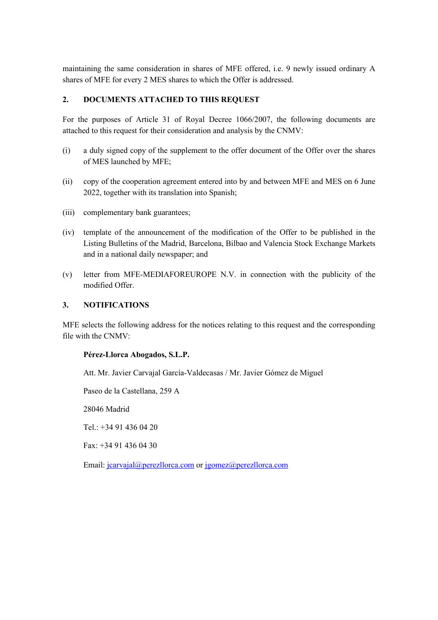maintaining the same consideration in shares of MFE offered, i.e. 9 newly issued ordinary A shares of MFE for every 2 MES shares to which the Offer is addressed.

## **2. DOCUMENTS ATTACHED TO THIS REQUEST**

For the purposes of Article 31 of Royal Decree 1066/2007, the following documents are attached to this request for their consideration and analysis by the CNMV:

- (i) a duly signed copy of the supplement to the offer document of the Offer over the shares of MES launched by MFE;
- (ii) copy of the cooperation agreement entered into by and between MFE and MES on 6 June 2022, together with its translation into Spanish;
- (iii) complementary bank guarantees;
- (iv) template of the announcement of the modification of the Offer to be published in the Listing Bulletins of the Madrid, Barcelona, Bilbao and Valencia Stock Exchange Markets and in a national daily newspaper; and
- (v) letter from MFE-MEDIAFOREUROPE N.V. in connection with the publicity of the modified Offer.

### **3. NOTIFICATIONS**

MFE selects the following address for the notices relating to this request and the corresponding file with the CNMV:

#### **Pérez-Llorca Abogados, S.L.P.**

Att. Mr. Javier Carvajal García-Valdecasas / Mr. Javier Gómez de Miguel

Paseo de la Castellana, 259 A

28046 Madrid

Tel.: +34 91 436 04 20

Fax: +34 91 436 04 30

Email: [jcarvajal@perezllorca.com](mailto:jcarvajal@perezllorca.com) or [jgomez@perezllorca.com](mailto:jgomez@perezllorca.com)